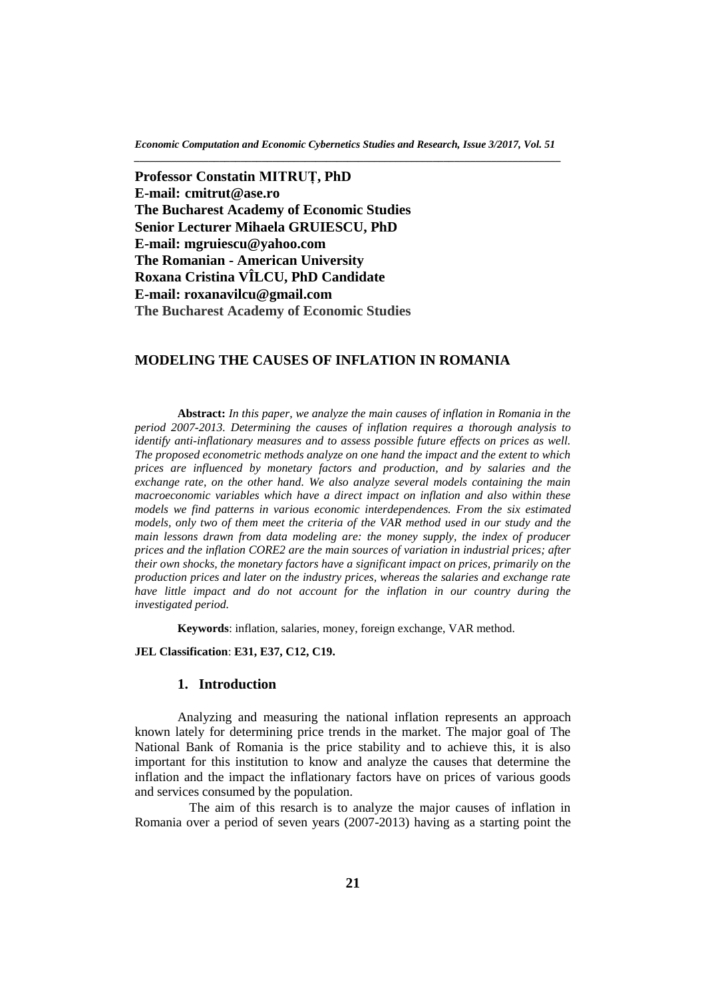*Economic Computation and Economic Cybernetics Studies and Research, Issue 3/2017, Vol. 51 \_\_\_\_\_\_\_\_\_\_\_\_\_\_\_\_\_\_\_\_\_\_\_\_\_\_\_\_\_\_\_\_\_\_\_\_\_\_\_\_\_\_\_\_\_\_\_\_\_\_\_\_\_\_\_\_\_\_\_\_\_\_\_\_\_\_\_\_\_\_\_\_\_\_\_\_\_\_\_\_*

**Professor Constatin MITRUȚ, PhD E-mail: cmitrut@ase.ro The Bucharest Academy of Economic Studies Senior Lecturer Mihaela GRUIESCU, PhD E-mail: mgruiescu@yahoo.com The Romanian - American University Roxana Cristina VÎLCU, PhD Candidate E-mail: roxanavilcu@gmail.com The Bucharest Academy of Economic Studies**

# **MODELING THE CAUSES OF INFLATION IN ROMANIA**

**Abstract:** *In this paper, we analyze the main causes of inflation in Romania in the period 2007-2013. Determining the causes of inflation requires a thorough analysis to identify anti-inflationary measures and to assess possible future effects on prices as well. The proposed econometric methods analyze on one hand the impact and the extent to which prices are influenced by monetary factors and production, and by salaries and the exchange rate, on the other hand. We also analyze several models containing the main macroeconomic variables which have a direct impact on inflation and also within these models we find patterns in various economic interdependences. From the six estimated models, only two of them meet the criteria of the VAR method used in our study and the main lessons drawn from data modeling are: the money supply, the index of producer prices and the inflation CORE2 are the main sources of variation in industrial prices; after their own shocks, the monetary factors have a significant impact on prices, primarily on the production prices and later on the industry prices, whereas the salaries and exchange rate have little impact and do not account for the inflation in our country during the investigated period.*

**Keywords**: inflation, salaries, money, foreign exchange, VAR method.

### **JEL Classification**: **E31, E37, C12, C19.**

### **1. Introduction**

Analyzing and measuring the national inflation represents an approach known lately for determining price trends in the market. The major goal of The National Bank of Romania is the price stability and to achieve this, it is also important for this institution to know and analyze the causes that determine the inflation and the impact the inflationary factors have on prices of various goods and services consumed by the population.

The aim of this resarch is to analyze the major causes of inflation in Romania over a period of seven years (2007-2013) having as a starting point the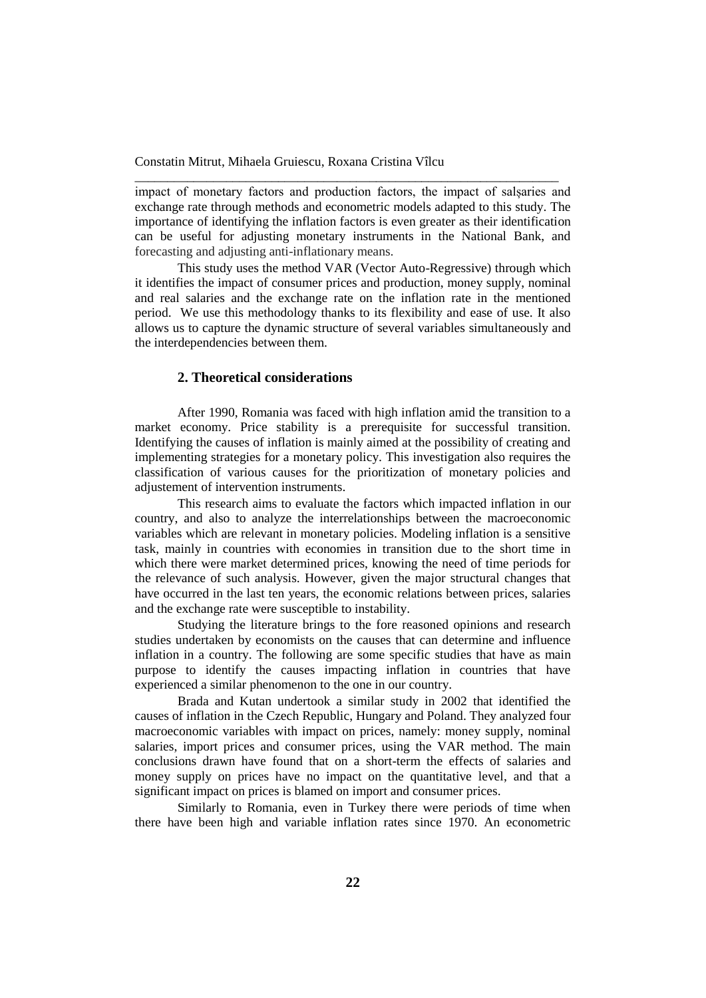impact of monetary factors and production factors, the impact of salșaries and exchange rate through methods and econometric models adapted to this study. The importance of identifying the inflation factors is even greater as their identification can be useful for adjusting monetary instruments in the National Bank, and forecasting and adjusting anti-inflationary means.

\_\_\_\_\_\_\_\_\_\_\_\_\_\_\_\_\_\_\_\_\_\_\_\_\_\_\_\_\_\_\_\_\_\_\_\_\_\_\_\_\_\_\_\_\_\_\_\_\_\_\_\_\_\_\_\_\_\_\_\_\_\_\_\_\_

This study uses the method VAR (Vector Auto-Regressive) through which it identifies the impact of consumer prices and production, money supply, nominal and real salaries and the exchange rate on the inflation rate in the mentioned period. We use this methodology thanks to its flexibility and ease of use. It also allows us to capture the dynamic structure of several variables simultaneously and the interdependencies between them.

### **2. Theoretical considerations**

After 1990, Romania was faced with high inflation amid the transition to a market economy. Price stability is a prerequisite for successful transition. Identifying the causes of inflation is mainly aimed at the possibility of creating and implementing strategies for a monetary policy. This investigation also requires the classification of various causes for the prioritization of monetary policies and adjustement of intervention instruments.

This research aims to evaluate the factors which impacted inflation in our country, and also to analyze the interrelationships between the macroeconomic variables which are relevant in monetary policies. Modeling inflation is a sensitive task, mainly in countries with economies in transition due to the short time in which there were market determined prices, knowing the need of time periods for the relevance of such analysis. However, given the major structural changes that have occurred in the last ten years, the economic relations between prices, salaries and the exchange rate were susceptible to instability.

Studying the literature brings to the fore reasoned opinions and research studies undertaken by economists on the causes that can determine and influence inflation in a country. The following are some specific studies that have as main purpose to identify the causes impacting inflation in countries that have experienced a similar phenomenon to the one in our country.

Brada and Kutan undertook a similar study in 2002 that identified the causes of inflation in the Czech Republic, Hungary and Poland. They analyzed four macroeconomic variables with impact on prices, namely: money supply, nominal salaries, import prices and consumer prices, using the VAR method. The main conclusions drawn have found that on a short-term the effects of salaries and money supply on prices have no impact on the quantitative level, and that a significant impact on prices is blamed on import and consumer prices.

Similarly to Romania, even in Turkey there were periods of time when there have been high and variable inflation rates since 1970. An econometric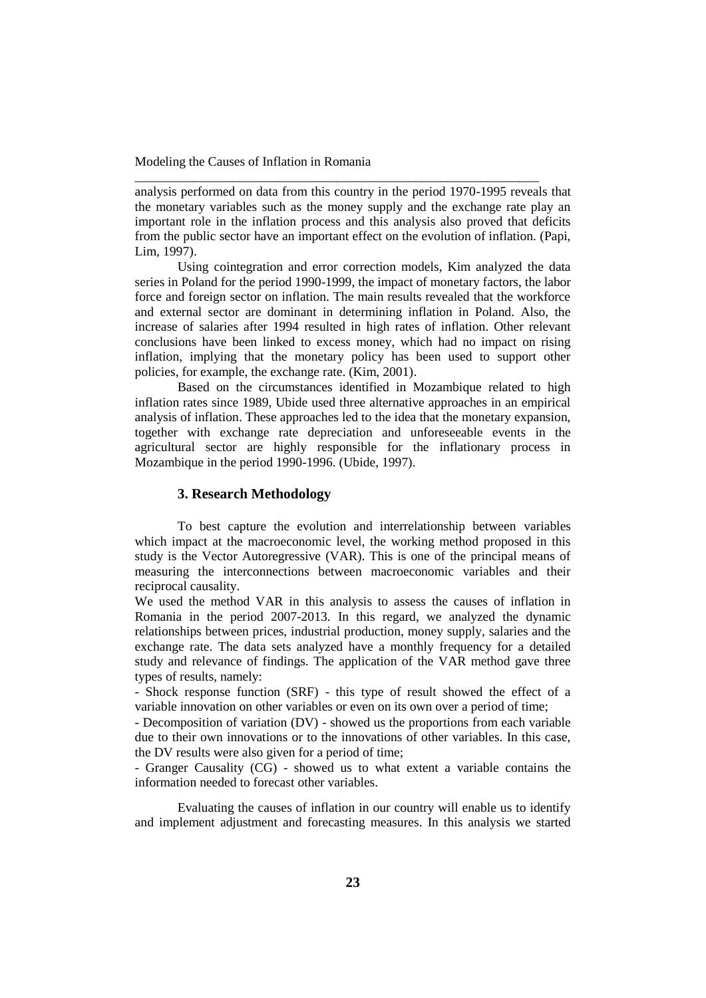analysis performed on data from this country in the period 1970-1995 reveals that the monetary variables such as the money supply and the exchange rate play an important role in the inflation process and this analysis also proved that deficits from the public sector have an important effect on the evolution of inflation. (Papi, Lim, 1997).

\_\_\_\_\_\_\_\_\_\_\_\_\_\_\_\_\_\_\_\_\_\_\_\_\_\_\_\_\_\_\_\_\_\_\_\_\_\_\_\_\_\_\_\_\_\_\_\_\_\_\_\_\_\_\_\_\_\_\_\_\_\_

Using cointegration and error correction models, Kim analyzed the data series in Poland for the period 1990-1999, the impact of monetary factors, the labor force and foreign sector on inflation. The main results revealed that the workforce and external sector are dominant in determining inflation in Poland. Also, the increase of salaries after 1994 resulted in high rates of inflation. Other relevant conclusions have been linked to excess money, which had no impact on rising inflation, implying that the monetary policy has been used to support other policies, for example, the exchange rate. (Kim, 2001).

Based on the circumstances identified in Mozambique related to high inflation rates since 1989, Ubide used three alternative approaches in an empirical analysis of inflation. These approaches led to the idea that the monetary expansion, together with exchange rate depreciation and unforeseeable events in the agricultural sector are highly responsible for the inflationary process in Mozambique in the period 1990-1996. (Ubide, 1997).

# **3. Research Methodology**

To best capture the evolution and interrelationship between variables which impact at the macroeconomic level, the working method proposed in this study is the Vector Autoregressive (VAR). This is one of the principal means of measuring the interconnections between macroeconomic variables and their reciprocal causality.

We used the method VAR in this analysis to assess the causes of inflation in Romania in the period 2007-2013. In this regard, we analyzed the dynamic relationships between prices, industrial production, money supply, salaries and the exchange rate. The data sets analyzed have a monthly frequency for a detailed study and relevance of findings. The application of the VAR method gave three types of results, namely:

- Shock response function (SRF) - this type of result showed the effect of a variable innovation on other variables or even on its own over a period of time;

- Decomposition of variation (DV) - showed us the proportions from each variable due to their own innovations or to the innovations of other variables. In this case, the DV results were also given for a period of time;

- Granger Causality (CG) - showed us to what extent a variable contains the information needed to forecast other variables.

Evaluating the causes of inflation in our country will enable us to identify and implement adjustment and forecasting measures. In this analysis we started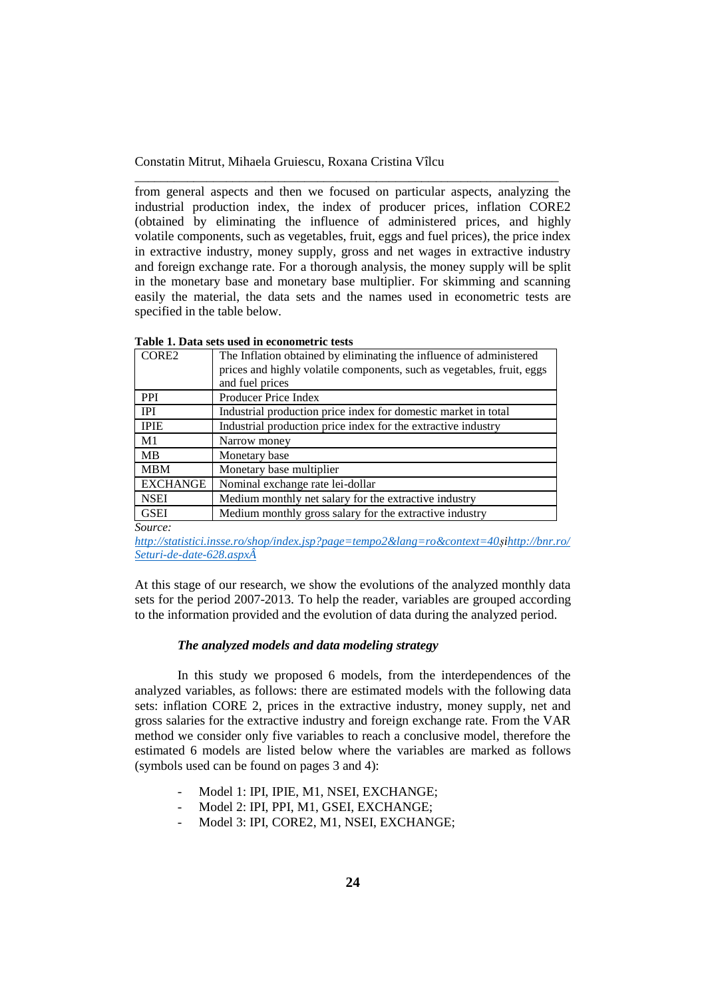from general aspects and then we focused on particular aspects, analyzing the industrial production index, the index of producer prices, inflation CORE2 (obtained by eliminating the influence of administered prices, and highly volatile components, such as vegetables, fruit, eggs and fuel prices), the price index in extractive industry, money supply, gross and net wages in extractive industry and foreign exchange rate. For a thorough analysis, the money supply will be split in the monetary base and monetary base multiplier. For skimming and scanning easily the material, the data sets and the names used in econometric tests are specified in the table below.

\_\_\_\_\_\_\_\_\_\_\_\_\_\_\_\_\_\_\_\_\_\_\_\_\_\_\_\_\_\_\_\_\_\_\_\_\_\_\_\_\_\_\_\_\_\_\_\_\_\_\_\_\_\_\_\_\_\_\_\_\_\_\_\_\_

| Table 1. Data sets used in econometric tests |  |  |  |
|----------------------------------------------|--|--|--|
|----------------------------------------------|--|--|--|

| CORE2           | The Inflation obtained by eliminating the influence of administered    |
|-----------------|------------------------------------------------------------------------|
|                 | prices and highly volatile components, such as vegetables, fruit, eggs |
|                 | and fuel prices                                                        |
| <b>PPI</b>      | Producer Price Index                                                   |
| <b>IPI</b>      | Industrial production price index for domestic market in total         |
| <b>IPIE</b>     | Industrial production price index for the extractive industry          |
| M1              | Narrow money                                                           |
| <b>MB</b>       | Monetary base                                                          |
| <b>MBM</b>      | Monetary base multiplier                                               |
| <b>EXCHANGE</b> | Nominal exchange rate lei-dollar                                       |
| <b>NSEI</b>     | Medium monthly net salary for the extractive industry                  |
| <b>GSEI</b>     | Medium monthly gross salary for the extractive industry                |

*Source:* 

*[http://statistici.insse.ro/shop/index.jsp?page=tempo2&lang=ro&context=40ș](http://statistici.insse.ro/shop/index.jsp?page=tempo2&lang=ro&context=40)[ihttp://bnr.ro/](http://bnr.ro/Seturi-de-date-628.aspxÂ) [Seturi-de-date-628.aspxÂ](http://bnr.ro/Seturi-de-date-628.aspxÂ)*

At this stage of our research, we show the evolutions of the analyzed monthly data sets for the period 2007-2013. To help the reader, variables are grouped according to the information provided and the evolution of data during the analyzed period.

## *The analyzed models and data modeling strategy*

In this study we proposed 6 models, from the interdependences of the analyzed variables, as follows: there are estimated models with the following data sets: inflation CORE 2, prices in the extractive industry, money supply, net and gross salaries for the extractive industry and foreign exchange rate. From the VAR method we consider only five variables to reach a conclusive model, therefore the estimated 6 models are listed below where the variables are marked as follows (symbols used can be found on pages 3 and 4):

- Model 1: IPI, IPIE, M1, NSEI, EXCHANGE;
- Model 2: IPI, PPI, M1, GSEI, EXCHANGE;
- Model 3: IPI, CORE2, M1, NSEI, EXCHANGE;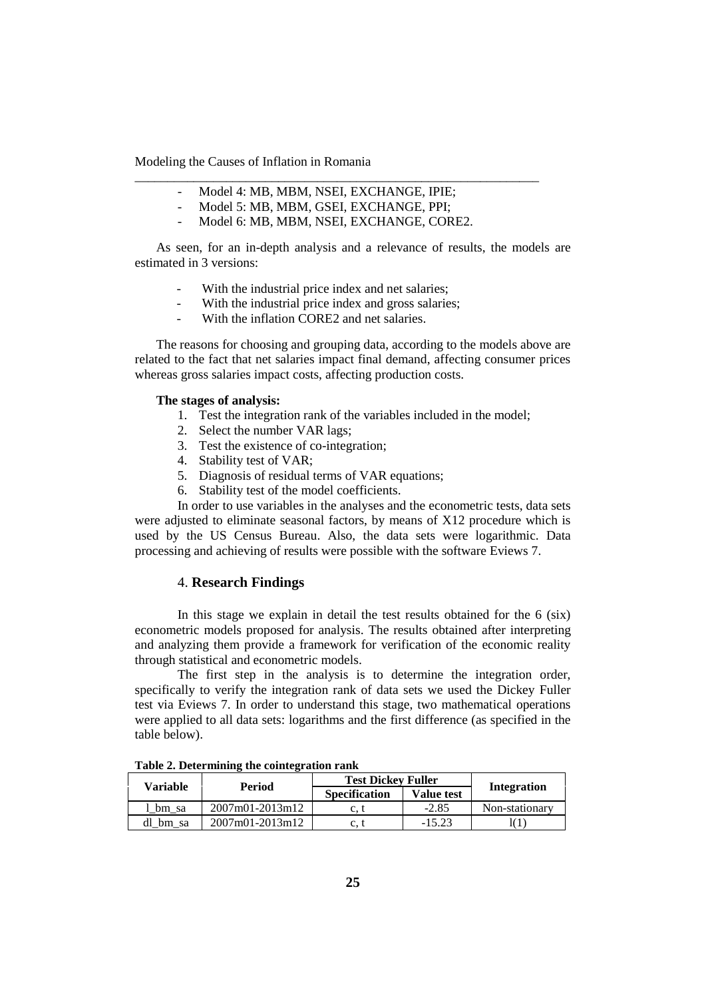- Model 4: MB, MBM, NSEI, EXCHANGE, IPIE;
- Model 5: MB, MBM, GSEI, EXCHANGE, PPI;
- Model 6: MB, MBM, NSEI, EXCHANGE, CORE2.

\_\_\_\_\_\_\_\_\_\_\_\_\_\_\_\_\_\_\_\_\_\_\_\_\_\_\_\_\_\_\_\_\_\_\_\_\_\_\_\_\_\_\_\_\_\_\_\_\_\_\_\_\_\_\_\_\_\_\_\_\_\_

As seen, for an in-depth analysis and a relevance of results, the models are estimated in 3 versions:

- With the industrial price index and net salaries;
- With the industrial price index and gross salaries;
- With the inflation CORE2 and net salaries.

The reasons for choosing and grouping data, according to the models above are related to the fact that net salaries impact final demand, affecting consumer prices whereas gross salaries impact costs, affecting production costs.

#### **The stages of analysis:**

- 1. Test the integration rank of the variables included in the model;
- 2. Select the number VAR lags;
- 3. Test the existence of co-integration;
- 4. Stability test of VAR;
- 5. Diagnosis of residual terms of VAR equations;
- 6. Stability test of the model coefficients.

In order to use variables in the analyses and the econometric tests, data sets were adjusted to eliminate seasonal factors, by means of X12 procedure which is used by the US Census Bureau. Also, the data sets were logarithmic. Data processing and achieving of results were possible with the software Eviews 7.

# 4. **Research Findings**

In this stage we explain in detail the test results obtained for the 6 (six) econometric models proposed for analysis. The results obtained after interpreting and analyzing them provide a framework for verification of the economic reality through statistical and econometric models.

The first step in the analysis is to determine the integration order, specifically to verify the integration rank of data sets we used the Dickey Fuller test via Eviews 7. In order to understand this stage, two mathematical operations were applied to all data sets: logarithms and the first difference (as specified in the table below).

| <b>Variable</b> |                                     | <b>Test Dickey Fuller</b> |                   |                |
|-----------------|-------------------------------------|---------------------------|-------------------|----------------|
|                 | Period                              | <b>Specification</b>      | <b>Value test</b> | Integration    |
| bm sa           | $2007m01 - 2013m12$                 | c. t                      | $-2.85$           | Non-stationary |
| dl bm sa        | $2007 \text{m}01 - 2013 \text{m}12$ | c. t                      | $-15.23$          |                |

**Table 2. Determining the cointegration rank**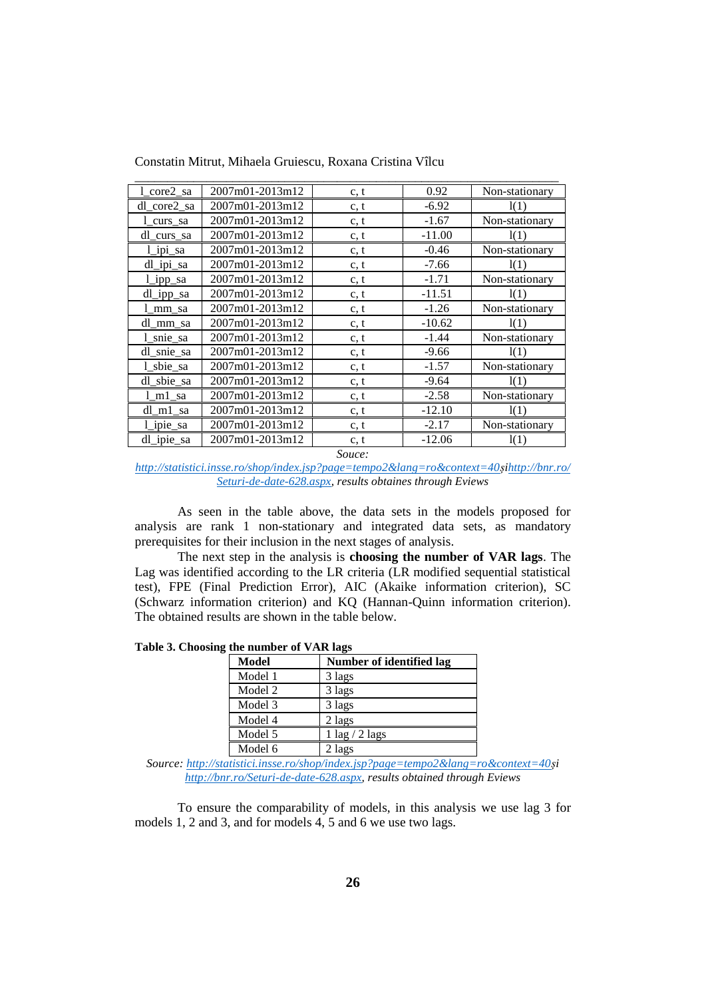| 1 core2 sa   | 2007m01-2013m12 | c, t | 0.92     | Non-stationary |
|--------------|-----------------|------|----------|----------------|
| dl_core2_sa  | 2007m01-2013m12 | c, t | $-6.92$  | 1(1)           |
| 1 curs sa    | 2007m01-2013m12 | c, t | $-1.67$  | Non-stationary |
| dl_curs_sa   | 2007m01-2013m12 | c, t | $-11.00$ | 1(1)           |
| l ipi sa     | 2007m01-2013m12 | c, t | $-0.46$  | Non-stationary |
| $dl$ _ipi_sa | 2007m01-2013m12 | c, t | $-7.66$  | 1(1)           |
| l ipp sa     | 2007m01-2013m12 | c, t | $-1.71$  | Non-stationary |
| dl_ipp_sa    | 2007m01-2013m12 | c, t | $-11.51$ | 1(1)           |
| 1_mm_sa      | 2007m01-2013m12 | c, t | $-1.26$  | Non-stationary |
| dl_mm_sa     | 2007m01-2013m12 | c, t | $-10.62$ | 1(1)           |
| 1_snie_sa    | 2007m01-2013m12 | c, t | $-1.44$  | Non-stationary |
| dl snie sa   | 2007m01-2013m12 | c, t | $-9.66$  | 1(1)           |
| 1_sbie_sa    | 2007m01-2013m12 | c, t | $-1.57$  | Non-stationary |
| dl_sbie_sa   | 2007m01-2013m12 | c, t | $-9.64$  | 1(1)           |
| l m1 sa      | 2007m01-2013m12 | c, t | $-2.58$  | Non-stationary |
| dl m1 sa     | 2007m01-2013m12 | c, t | $-12.10$ | 1(1)           |
| l ipie sa    | 2007m01-2013m12 | c, t | $-2.17$  | Non-stationary |
| dl ipie sa   | 2007m01-2013m12 | c, t | $-12.06$ | 1(1)           |

Constatin Mitrut, Mihaela Gruiescu, Roxana Cristina Vîlcu

*Souce:* 

*[http://statistici.insse.ro/shop/index.jsp?page=tempo2&lang=ro&context=40ș](http://statistici.insse.ro/shop/index.jsp?page=tempo2&lang=ro&context=40)[ihttp://bnr.ro/](http://bnr.ro/Seturi-de-date-628.aspx) [Seturi-de-date-628.aspx,](http://bnr.ro/Seturi-de-date-628.aspx) results obtaines through Eviews*

As seen in the table above, the data sets in the models proposed for analysis are rank 1 non-stationary and integrated data sets, as mandatory prerequisites for their inclusion in the next stages of analysis.

The next step in the analysis is **choosing the number of VAR lags**. The Lag was identified according to the LR criteria (LR modified sequential statistical test), FPE (Final Prediction Error), AIC (Akaike information criterion), SC (Schwarz information criterion) and KQ (Hannan-Quinn information criterion). The obtained results are shown in the table below.

**Table 3. Choosing the number of VAR lags**

| Model   | Number of identified lag |
|---------|--------------------------|
| Model 1 | 3 lags                   |
| Model 2 | 3 lags                   |
| Model 3 | 3 lags                   |
| Model 4 | $2$ lags                 |
| Model 5 | $1 \log / 2 \log s$      |
| Model 6 | 2 lags                   |

*Source: [http://statistici.insse.ro/shop/index.jsp?page=tempo2&lang=ro&context=40ș](http://statistici.insse.ro/shop/index.jsp?page=tempo2&lang=ro&context=40)i [http://bnr.ro/Seturi-de-date-628.aspx,](http://bnr.ro/Seturi-de-date-628.aspx) results obtained through Eviews*

To ensure the comparability of models, in this analysis we use lag 3 for models 1, 2 and 3, and for models 4, 5 and 6 we use two lags.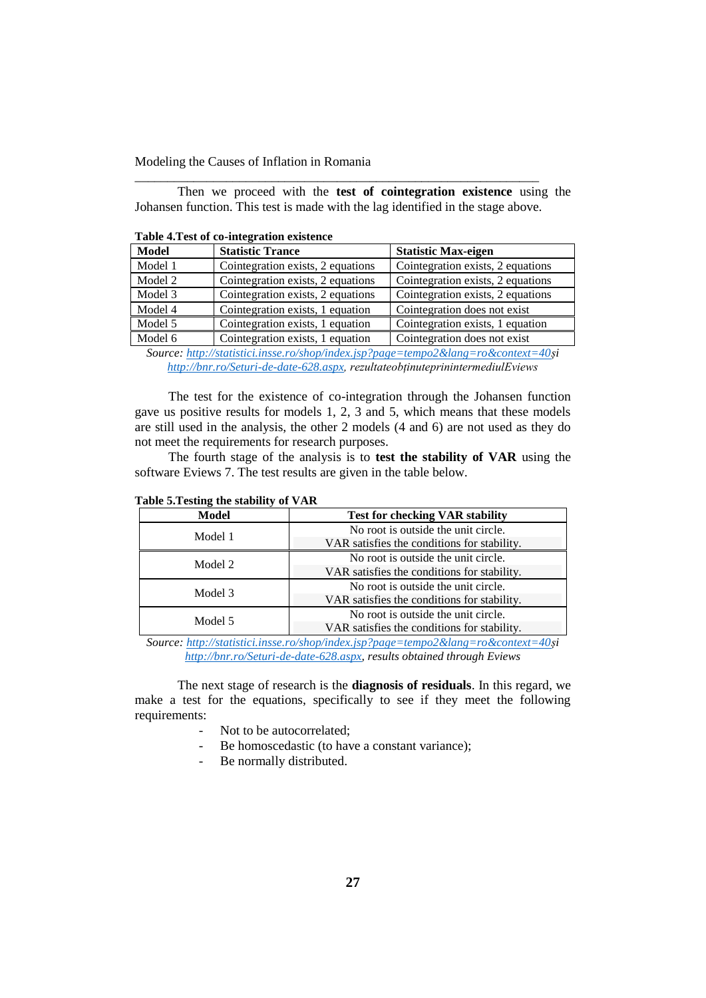Then we proceed with the **test of cointegration existence** using the Johansen function. This test is made with the lag identified in the stage above.

\_\_\_\_\_\_\_\_\_\_\_\_\_\_\_\_\_\_\_\_\_\_\_\_\_\_\_\_\_\_\_\_\_\_\_\_\_\_\_\_\_\_\_\_\_\_\_\_\_\_\_\_\_\_\_\_\_\_\_\_\_\_

| Tuble 411 Cot of Co Integration existence |                                   |                                   |  |  |
|-------------------------------------------|-----------------------------------|-----------------------------------|--|--|
| <b>Model</b>                              | <b>Statistic Trance</b>           | <b>Statistic Max-eigen</b>        |  |  |
| Model 1                                   | Cointegration exists, 2 equations | Cointegration exists, 2 equations |  |  |
| Model 2                                   | Cointegration exists, 2 equations | Cointegration exists, 2 equations |  |  |
| Model 3                                   | Cointegration exists, 2 equations | Cointegration exists, 2 equations |  |  |
| Model 4                                   | Cointegration exists, 1 equation  | Cointegration does not exist      |  |  |
| Model 5                                   | Cointegration exists, 1 equation  | Cointegration exists, 1 equation  |  |  |
| Model 6                                   | Cointegration exists, 1 equation  | Cointegration does not exist      |  |  |
|                                           |                                   |                                   |  |  |

**Table 4.Test of co-integration existence** 

*Source: [http://statistici.insse.ro/shop/index.jsp?page=tempo2&lang=ro&context=40ș](http://statistici.insse.ro/shop/index.jsp?page=tempo2&lang=ro&context=40)i [http://bnr.ro/Seturi-de-date-628.aspx,](http://bnr.ro/Seturi-de-date-628.aspx) rezultateobținuteprinintermediulEviews*

The test for the existence of co-integration through the Johansen function gave us positive results for models 1, 2, 3 and 5, which means that these models are still used in the analysis, the other 2 models (4 and 6) are not used as they do not meet the requirements for research purposes.

The fourth stage of the analysis is to **test the stability of VAR** using the software Eviews 7. The test results are given in the table below.

| <b>Model</b> | <b>Test for checking VAR stability</b>      |  |
|--------------|---------------------------------------------|--|
| Model 1      | No root is outside the unit circle.         |  |
|              | VAR satisfies the conditions for stability. |  |
|              | No root is outside the unit circle.         |  |
| Model 2      | VAR satisfies the conditions for stability. |  |
| Model 3      | No root is outside the unit circle.         |  |
|              | VAR satisfies the conditions for stability. |  |
| Model 5      | No root is outside the unit circle.         |  |
|              | VAR satisfies the conditions for stability. |  |

## **Table 5.Testing the stability of VAR**

*Source: [http://statistici.insse.ro/shop/index.jsp?page=tempo2&lang=ro&context=40ș](http://statistici.insse.ro/shop/index.jsp?page=tempo2&lang=ro&context=40)i [http://bnr.ro/Seturi-de-date-628.aspx,](http://bnr.ro/Seturi-de-date-628.aspx) results obtained through Eviews*

The next stage of research is the **diagnosis of residuals**. In this regard, we make a test for the equations, specifically to see if they meet the following requirements:

- Not to be autocorrelated;
- Be homoscedastic (to have a constant variance);
- Be normally distributed.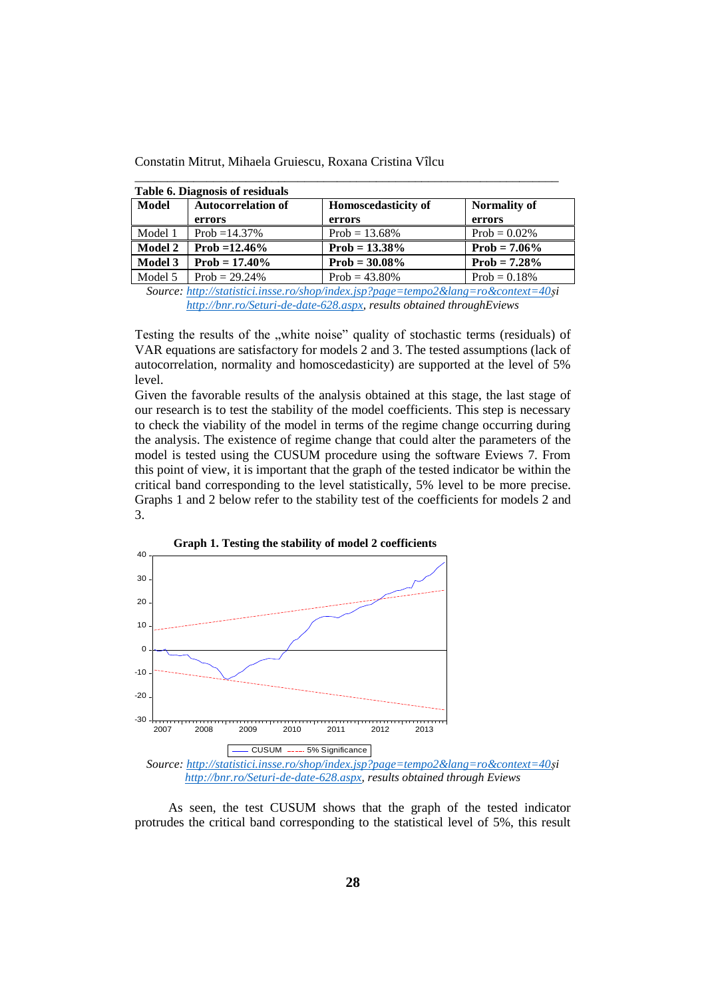| Constatin Mitrut, Mihaela Gruiescu, Roxana Cristina Vîlcu |  |  |  |  |
|-----------------------------------------------------------|--|--|--|--|
|-----------------------------------------------------------|--|--|--|--|

| <b>Table 6. Diagnosis of residuals</b> |                                     |                                      |                               |  |  |  |
|----------------------------------------|-------------------------------------|--------------------------------------|-------------------------------|--|--|--|
| Model                                  | <b>Autocorrelation of</b><br>errors | <b>Homoscedasticity of</b><br>errors | <b>Normality of</b><br>errors |  |  |  |
| Model 1                                | Prob = $14.37\%$                    | Prob = $13.68\%$                     | Prob = $0.02\%$               |  |  |  |
| <b>Model 2</b>                         | Prob = $12.46\%$                    | $Prob = 13.38\%$                     | $Prob = 7.06\%$               |  |  |  |
| <b>Model 3</b>                         | <b>Prob</b> = $17.40\%$             | $Prob = 30.08\%$                     | $Prob = 7.28\%$               |  |  |  |
| Model 5                                | Prob = $29.24\%$                    | Prob = $43.80\%$                     | $Prob = 0.18%$                |  |  |  |

*Source: [http://statistici.insse.ro/shop/index.jsp?page=tempo2&lang=ro&context=40ș](http://statistici.insse.ro/shop/index.jsp?page=tempo2&lang=ro&context=40)i [http://bnr.ro/Seturi-de-date-628.aspx,](http://bnr.ro/Seturi-de-date-628.aspx) results obtained throughEviews*

Testing the results of the "white noise" quality of stochastic terms (residuals) of VAR equations are satisfactory for models 2 and 3. The tested assumptions (lack of autocorrelation, normality and homoscedasticity) are supported at the level of 5% level.

Given the favorable results of the analysis obtained at this stage, the last stage of our research is to test the stability of the model coefficients. This step is necessary to check the viability of the model in terms of the regime change occurring during the analysis. The existence of regime change that could alter the parameters of the model is tested using the CUSUM procedure using the software Eviews 7. From this point of view, it is important that the graph of the tested indicator be within the critical band corresponding to the level statistically, 5% level to be more precise. Graphs 1 and 2 below refer to the stability test of the coefficients for models 2 and 3.



As seen, the test CUSUM shows that the graph of the tested indicator protrudes the critical band corresponding to the statistical level of 5%, this result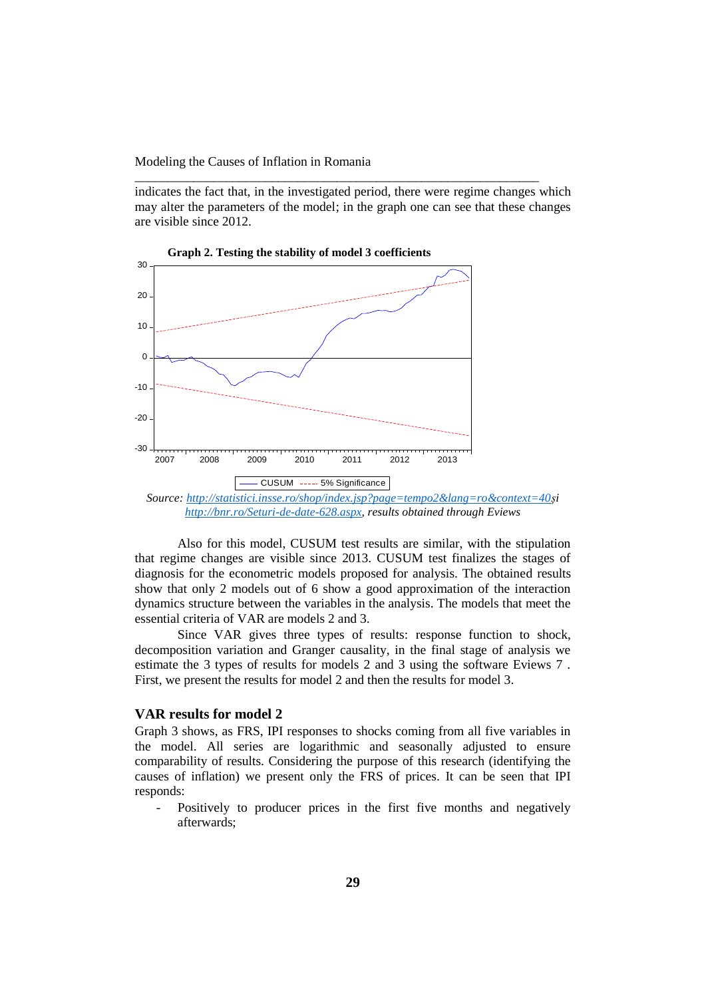indicates the fact that, in the investigated period, there were regime changes which may alter the parameters of the model; in the graph one can see that these changes are visible since 2012.

\_\_\_\_\_\_\_\_\_\_\_\_\_\_\_\_\_\_\_\_\_\_\_\_\_\_\_\_\_\_\_\_\_\_\_\_\_\_\_\_\_\_\_\_\_\_\_\_\_\_\_\_\_\_\_\_\_\_\_\_\_\_



 **Graph 2. Testing the stability of model 3 coefficients**

Also for this model, CUSUM test results are similar, with the stipulation that regime changes are visible since 2013. CUSUM test finalizes the stages of diagnosis for the econometric models proposed for analysis. The obtained results show that only 2 models out of 6 show a good approximation of the interaction dynamics structure between the variables in the analysis. The models that meet the essential criteria of VAR are models 2 and 3.

Since VAR gives three types of results: response function to shock, decomposition variation and Granger causality, in the final stage of analysis we estimate the 3 types of results for models 2 and 3 using the software Eviews 7 . First, we present the results for model 2 and then the results for model 3.

# **VAR results for model 2**

Graph 3 shows, as FRS, IPI responses to shocks coming from all five variables in the model. All series are logarithmic and seasonally adjusted to ensure comparability of results. Considering the purpose of this research (identifying the causes of inflation) we present only the FRS of prices. It can be seen that IPI responds:

Positively to producer prices in the first five months and negatively afterwards;

*[http://bnr.ro/Seturi-de-date-628.aspx,](http://bnr.ro/Seturi-de-date-628.aspx) results obtained through Eviews*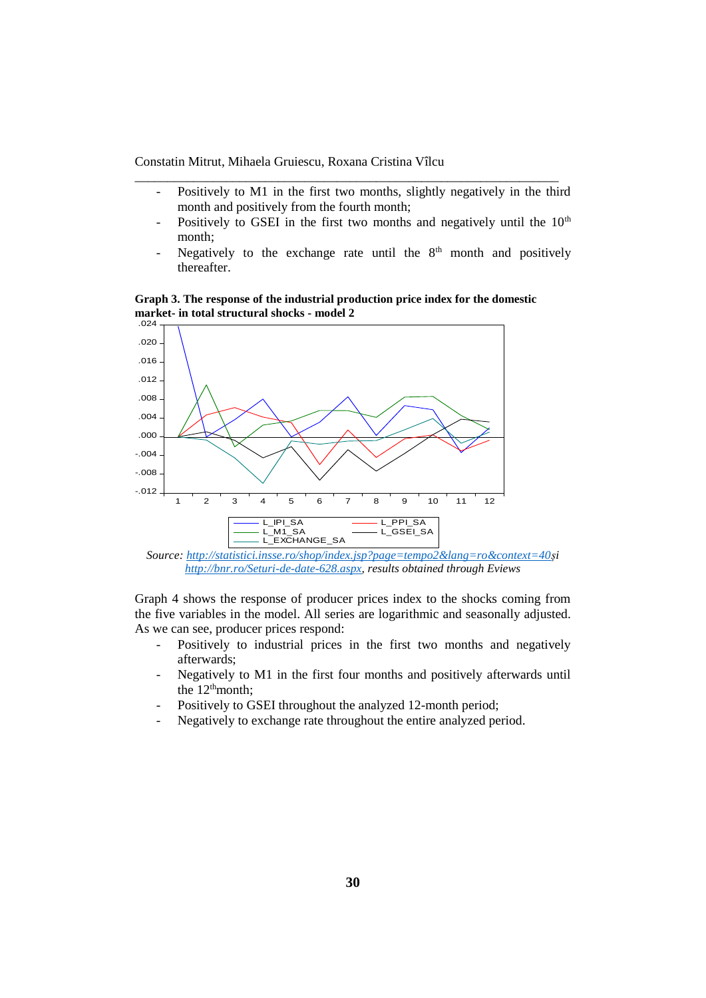Positively to M1 in the first two months, slightly negatively in the third month and positively from the fourth month;

\_\_\_\_\_\_\_\_\_\_\_\_\_\_\_\_\_\_\_\_\_\_\_\_\_\_\_\_\_\_\_\_\_\_\_\_\_\_\_\_\_\_\_\_\_\_\_\_\_\_\_\_\_\_\_\_\_\_\_\_\_\_\_\_\_

- Positively to GSEI in the first two months and negatively until the  $10<sup>th</sup>$ month;
- Negatively to the exchange rate until the  $8<sup>th</sup>$  month and positively thereafter.

**Graph 3. The response of the industrial production price index for the domestic market- in total structural shocks - model 2**



*Source: [http://statistici.insse.ro/shop/index.jsp?page=tempo2&lang=ro&context=40ș](http://statistici.insse.ro/shop/index.jsp?page=tempo2&lang=ro&context=40)i [http://bnr.ro/Seturi-de-date-628.aspx,](http://bnr.ro/Seturi-de-date-628.aspx) results obtained through Eviews*

Graph 4 shows the response of producer prices index to the shocks coming from the five variables in the model. All series are logarithmic and seasonally adjusted. As we can see, producer prices respond:

- Positively to industrial prices in the first two months and negatively afterwards;
- Negatively to M1 in the first four months and positively afterwards until the 12<sup>th</sup>month;
- Positively to GSEI throughout the analyzed 12-month period;
- Negatively to exchange rate throughout the entire analyzed period.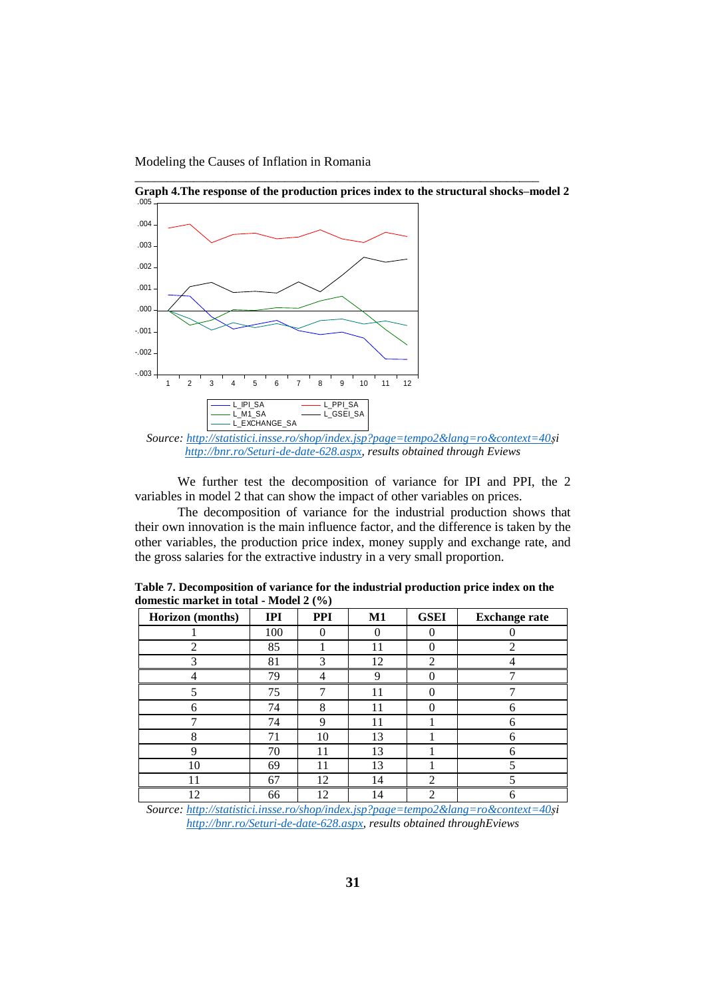Modeling the Causes of Inflation in Romania



**Graph 4.The response of the production prices index to the structural shocks–model 2**

\_\_\_\_\_\_\_\_\_\_\_\_\_\_\_\_\_\_\_\_\_\_\_\_\_\_\_\_\_\_\_\_\_\_\_\_\_\_\_\_\_\_\_\_\_\_\_\_\_\_\_\_\_\_\_\_\_\_\_\_\_\_

We further test the decomposition of variance for IPI and PPI, the 2 variables in model 2 that can show the impact of other variables on prices.

The decomposition of variance for the industrial production shows that their own innovation is the main influence factor, and the difference is taken by the other variables, the production price index, money supply and exchange rate, and the gross salaries for the extractive industry in a very small proportion.

| Horizon (months) | <b>IPI</b> | <b>PPI</b> | $\mathbf{M1}$ | <b>GSEI</b>    | <b>Exchange rate</b> |
|------------------|------------|------------|---------------|----------------|----------------------|
|                  | 100        |            |               |                |                      |
| 2                | 85         |            | 11            |                | $\mathfrak{D}$       |
| 3                | 81         | 3          | 12            | $\mathfrak{D}$ |                      |
|                  | 79         |            | Q             |                |                      |
|                  | 75         |            | 11            |                |                      |
| 6                | 74         | 8          | 11            | ∩              | n                    |
|                  | 74         | 9          | 11            |                | 6                    |
| 8                | 71         | 10         | 13            |                |                      |
| Ω                | 70         | 11         | 13            |                |                      |
| 10               | 69         | 11         | 13            |                |                      |
| 11               | 67         | 12         | 14            | $\mathfrak{D}$ |                      |
| 12               | 66         | 12         | 14            | 2              | 6                    |

**Table 7. Decomposition of variance for the industrial production price index on the domestic market in total - Model 2 (%)**

*Source: [http://statistici.insse.ro/shop/index.jsp?page=tempo2&lang=ro&context=40ș](http://statistici.insse.ro/shop/index.jsp?page=tempo2&lang=ro&context=40)i [http://bnr.ro/Seturi-de-date-628.aspx,](http://bnr.ro/Seturi-de-date-628.aspx) results obtained throughEviews*

*Source: [http://statistici.insse.ro/shop/index.jsp?page=tempo2&lang=ro&context=40ș](http://statistici.insse.ro/shop/index.jsp?page=tempo2&lang=ro&context=40)i [http://bnr.ro/Seturi-de-date-628.aspx,](http://bnr.ro/Seturi-de-date-628.aspx) results obtained through Eviews*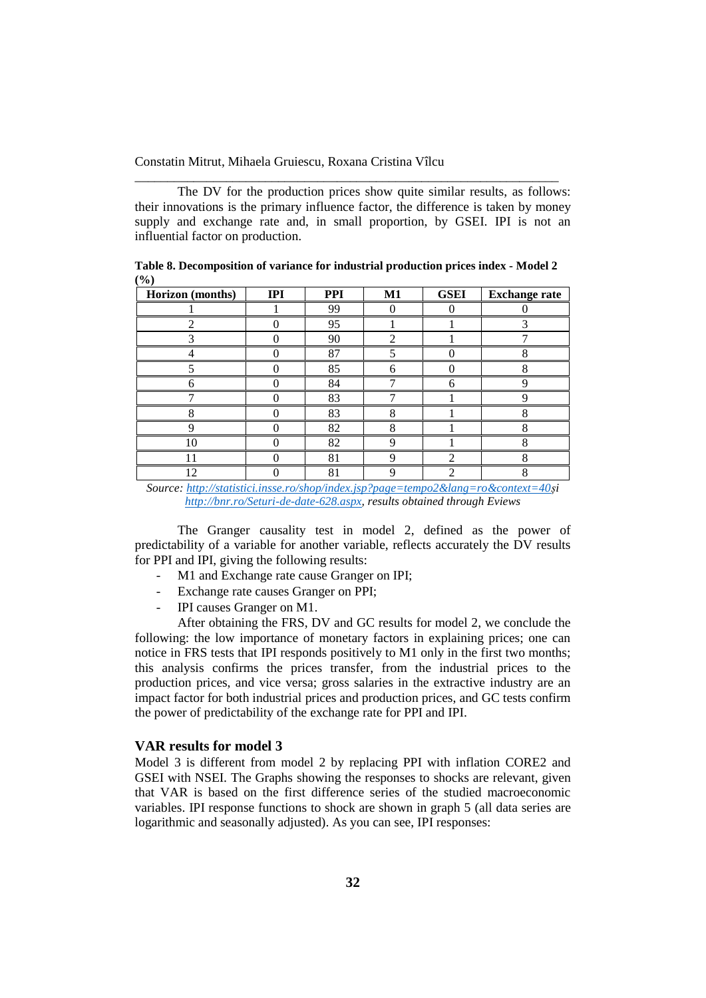The DV for the production prices show quite similar results, as follows: their innovations is the primary influence factor, the difference is taken by money supply and exchange rate and, in small proportion, by GSEI. IPI is not an influential factor on production.

\_\_\_\_\_\_\_\_\_\_\_\_\_\_\_\_\_\_\_\_\_\_\_\_\_\_\_\_\_\_\_\_\_\_\_\_\_\_\_\_\_\_\_\_\_\_\_\_\_\_\_\_\_\_\_\_\_\_\_\_\_\_\_\_\_

| ヽ・・ノ<br>Horizon (months) | IPI | <b>PPI</b> | M1 | <b>GSEI</b> | <b>Exchange rate</b> |
|--------------------------|-----|------------|----|-------------|----------------------|
|                          |     | 99         |    |             |                      |
|                          |     | 95         |    |             |                      |
|                          |     | 90         | ◠  |             |                      |
|                          |     | 87         |    |             |                      |
|                          |     | 85         |    |             |                      |
|                          |     | 84         |    |             |                      |
|                          |     | 83         |    |             |                      |
|                          |     | 83         | 8  |             |                      |
|                          |     | 82         |    |             |                      |
| 10                       |     | 82         |    |             |                      |
|                          |     | 81         |    | ↑           |                      |
| 12                       |     | 81         |    | ↑           |                      |

**Table 8. Decomposition of variance for industrial production prices index - Model 2 (%)**

*Source: [http://statistici.insse.ro/shop/index.jsp?page=tempo2&lang=ro&context=40ș](http://statistici.insse.ro/shop/index.jsp?page=tempo2&lang=ro&context=40)i [http://bnr.ro/Seturi-de-date-628.aspx,](http://bnr.ro/Seturi-de-date-628.aspx) results obtained through Eviews*

The Granger causality test in model 2, defined as the power of predictability of a variable for another variable, reflects accurately the DV results for PPI and IPI, giving the following results:

- M1 and Exchange rate cause Granger on IPI;
- Exchange rate causes Granger on PPI;
- IPI causes Granger on M1.

After obtaining the FRS, DV and GC results for model 2, we conclude the following: the low importance of monetary factors in explaining prices; one can notice in FRS tests that IPI responds positively to M1 only in the first two months; this analysis confirms the prices transfer, from the industrial prices to the production prices, and vice versa; gross salaries in the extractive industry are an impact factor for both industrial prices and production prices, and GC tests confirm the power of predictability of the exchange rate for PPI and IPI.

## **VAR results for model 3**

Model 3 is different from model 2 by replacing PPI with inflation CORE2 and GSEI with NSEI. The Graphs showing the responses to shocks are relevant, given that VAR is based on the first difference series of the studied macroeconomic variables. IPI response functions to shock are shown in graph 5 (all data series are logarithmic and seasonally adjusted). As you can see, IPI responses: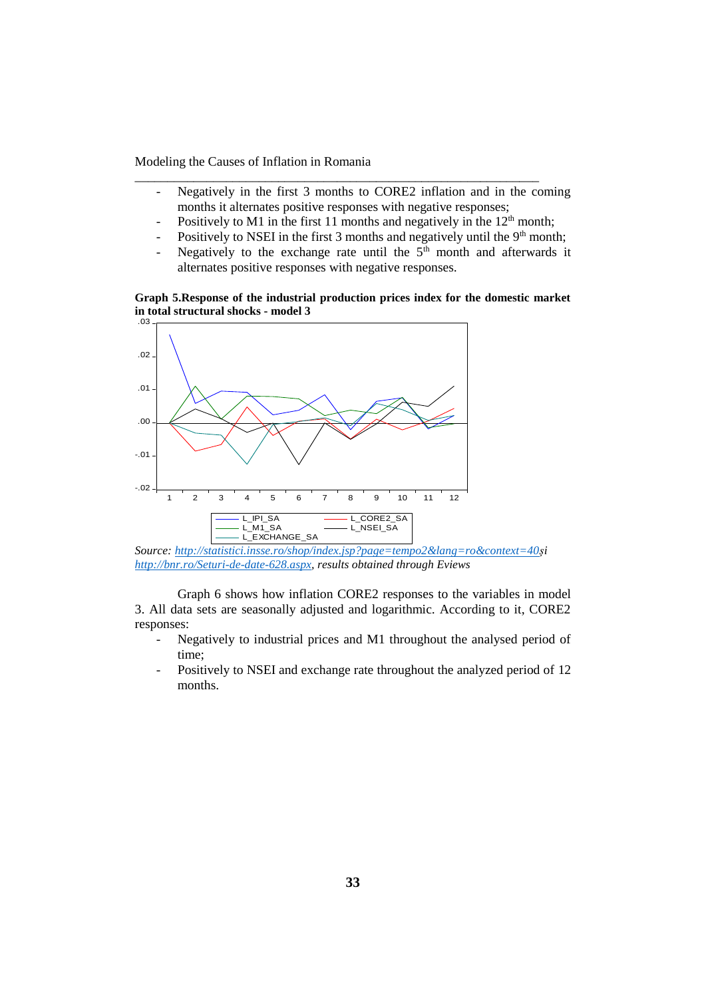- Negatively in the first 3 months to CORE2 inflation and in the coming months it alternates positive responses with negative responses;
- Positively to M1 in the first 11 months and negatively in the  $12<sup>th</sup>$  month;

\_\_\_\_\_\_\_\_\_\_\_\_\_\_\_\_\_\_\_\_\_\_\_\_\_\_\_\_\_\_\_\_\_\_\_\_\_\_\_\_\_\_\_\_\_\_\_\_\_\_\_\_\_\_\_\_\_\_\_\_\_\_

- Positively to NSEI in the first 3 months and negatively until the  $9<sup>th</sup>$  month;
- Negatively to the exchange rate until the  $5<sup>th</sup>$  month and afterwards it alternates positive responses with negative responses.

#### **Graph 5.Response of the industrial production prices index for the domestic market in total structural shocks - model 3** .03



*Source: [http://statistici.insse.ro/shop/index.jsp?page=tempo2&lang=ro&context=40ș](http://statistici.insse.ro/shop/index.jsp?page=tempo2&lang=ro&context=40)i [http://bnr.ro/Seturi-de-date-628.aspx,](http://bnr.ro/Seturi-de-date-628.aspx) results obtained through Eviews*

Graph 6 shows how inflation CORE2 responses to the variables in model 3. All data sets are seasonally adjusted and logarithmic. According to it, CORE2 responses:

- Negatively to industrial prices and M1 throughout the analysed period of time;
- Positively to NSEI and exchange rate throughout the analyzed period of 12 months.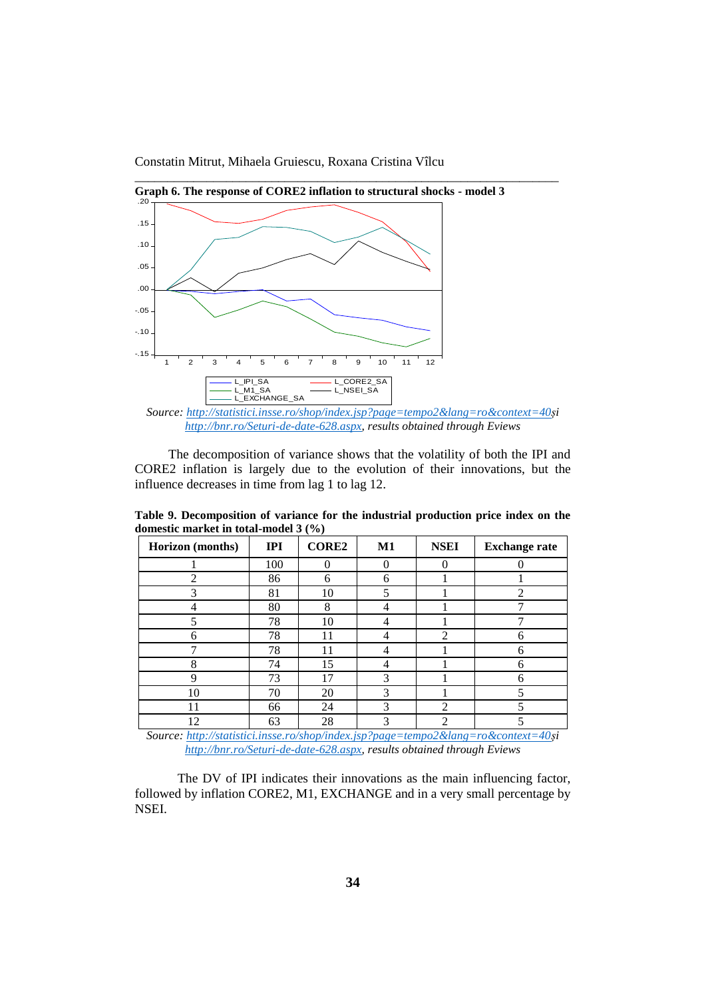Constatin Mitrut, Mihaela Gruiescu, Roxana Cristina Vîlcu



*Source: [http://statistici.insse.ro/shop/index.jsp?page=tempo2&lang=ro&context=40ș](http://statistici.insse.ro/shop/index.jsp?page=tempo2&lang=ro&context=40)i [http://bnr.ro/Seturi-de-date-628.aspx,](http://bnr.ro/Seturi-de-date-628.aspx) results obtained through Eviews*

The decomposition of variance shows that the volatility of both the IPI and CORE2 inflation is largely due to the evolution of their innovations, but the influence decreases in time from lag 1 to lag 12.

**Table 9. Decomposition of variance for the industrial production price index on the domestic market in total-model 3 (%)**

| Horizon (months) | IPI | <b>CORE2</b> | $\mathbf{M1}$ | <b>NSEI</b> | <b>Exchange rate</b> |
|------------------|-----|--------------|---------------|-------------|----------------------|
|                  | 100 |              |               |             |                      |
| 2                | 86  | 6            | 6             |             |                      |
| 3                | 81  | 10           |               |             | $\overline{2}$       |
|                  | 80  | 8            |               |             | −                    |
| 5                | 78  | 10           |               |             | $\overline{ }$       |
| 6                | 78  | 11           |               | ി           | 6                    |
|                  | 78  | 11           |               |             | 6                    |
| 8                | 74  | 15           |               |             | 6                    |
| q                | 73  | 7            | 3             |             | 6                    |
| 10               | 70  | 20           | 3             |             |                      |
| 11               | 66  | 24           | 3             | റ           |                      |
| 12               | 63  | 28           |               | ∍           |                      |

*Source: [http://statistici.insse.ro/shop/index.jsp?page=tempo2&lang=ro&context=40ș](http://statistici.insse.ro/shop/index.jsp?page=tempo2&lang=ro&context=40)i [http://bnr.ro/Seturi-de-date-628.aspx,](http://bnr.ro/Seturi-de-date-628.aspx) results obtained through Eviews*

The DV of IPI indicates their innovations as the main influencing factor, followed by inflation CORE2, M1, EXCHANGE and in a very small percentage by NSEI.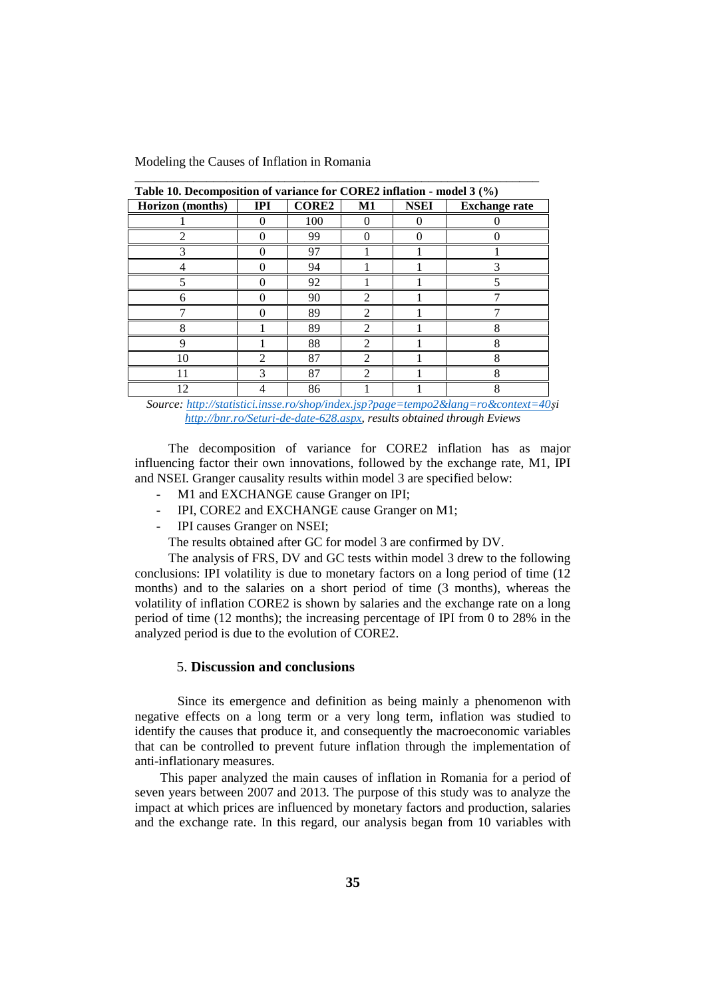**Horizon (months) IPI CORE2 M1 NSEI Exchange rate** 1 0 100 0 0 0 2 0 99 0 0 0 3 0 97 1 1 1 4 0 94 1 1 3 5 0 92 1 1 5 6 0 90 2 1 7 7 0 89 2 1 7 8 1 89 2 1 8 9 1 88 2 1 8 10 2 87 2 1 8 11 3 87 2 1 8 12 | 4 | 86 | 1 | 1 | 8

**Table 10. Decomposition of variance for CORE2 inflation - model 3 (%)**

\_\_\_\_\_\_\_\_\_\_\_\_\_\_\_\_\_\_\_\_\_\_\_\_\_\_\_\_\_\_\_\_\_\_\_\_\_\_\_\_\_\_\_\_\_\_\_\_\_\_\_\_\_\_\_\_\_\_\_\_\_\_

*Source: [http://statistici.insse.ro/shop/index.jsp?page=tempo2&lang=ro&context=40ș](http://statistici.insse.ro/shop/index.jsp?page=tempo2&lang=ro&context=40)i [http://bnr.ro/Seturi-de-date-628.aspx,](http://bnr.ro/Seturi-de-date-628.aspx) results obtained through Eviews*

The decomposition of variance for CORE2 inflation has as major influencing factor their own innovations, followed by the exchange rate, M1, IPI and NSEI. Granger causality results within model 3 are specified below:

- M1 and EXCHANGE cause Granger on IPI;
- IPI, CORE2 and EXCHANGE cause Granger on M1;
- IPI causes Granger on NSEI;

The results obtained after GC for model 3 are confirmed by DV.

The analysis of FRS, DV and GC tests within model 3 drew to the following conclusions: IPI volatility is due to monetary factors on a long period of time (12 months) and to the salaries on a short period of time (3 months), whereas the volatility of inflation CORE2 is shown by salaries and the exchange rate on a long period of time (12 months); the increasing percentage of IPI from 0 to 28% in the analyzed period is due to the evolution of CORE2.

# 5. **Discussion and conclusions**

Since its emergence and definition as being mainly a phenomenon with negative effects on a long term or a very long term, inflation was studied to identify the causes that produce it, and consequently the macroeconomic variables that can be controlled to prevent future inflation through the implementation of anti-inflationary measures.

This paper analyzed the main causes of inflation in Romania for a period of seven years between 2007 and 2013. The purpose of this study was to analyze the impact at which prices are influenced by monetary factors and production, salaries and the exchange rate. In this regard, our analysis began from 10 variables with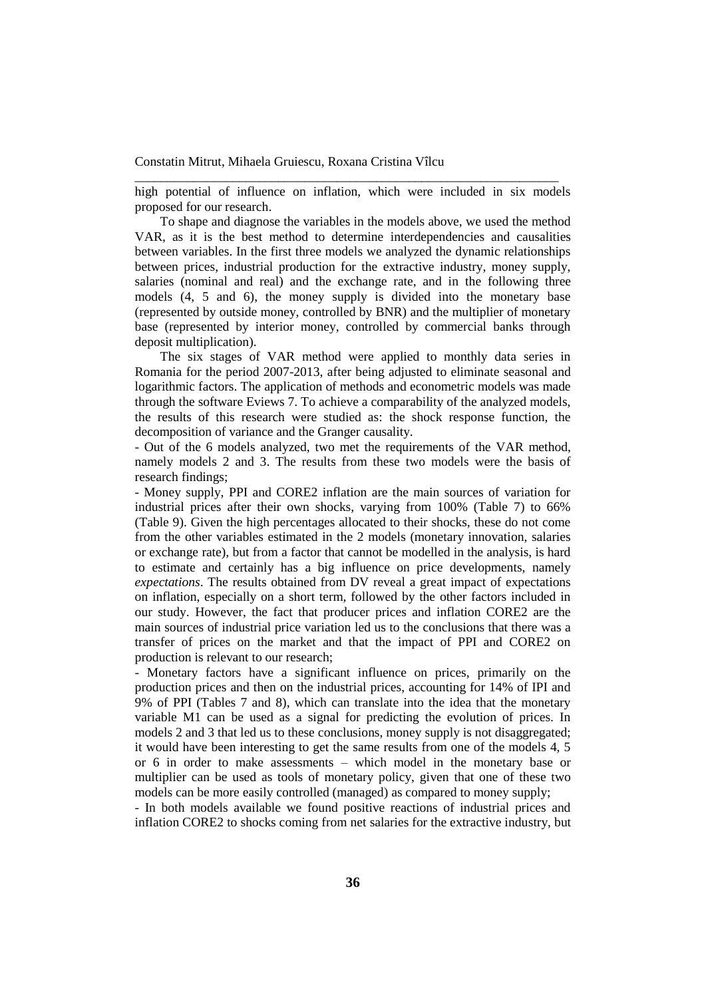high potential of influence on inflation, which were included in six models proposed for our research.

\_\_\_\_\_\_\_\_\_\_\_\_\_\_\_\_\_\_\_\_\_\_\_\_\_\_\_\_\_\_\_\_\_\_\_\_\_\_\_\_\_\_\_\_\_\_\_\_\_\_\_\_\_\_\_\_\_\_\_\_\_\_\_\_\_

To shape and diagnose the variables in the models above, we used the method VAR, as it is the best method to determine interdependencies and causalities between variables. In the first three models we analyzed the dynamic relationships between prices, industrial production for the extractive industry, money supply, salaries (nominal and real) and the exchange rate, and in the following three models (4, 5 and 6), the money supply is divided into the monetary base (represented by outside money, controlled by BNR) and the multiplier of monetary base (represented by interior money, controlled by commercial banks through deposit multiplication).

The six stages of VAR method were applied to monthly data series in Romania for the period 2007-2013, after being adjusted to eliminate seasonal and logarithmic factors. The application of methods and econometric models was made through the software Eviews 7. To achieve a comparability of the analyzed models, the results of this research were studied as: the shock response function, the decomposition of variance and the Granger causality.

- Out of the 6 models analyzed, two met the requirements of the VAR method, namely models 2 and 3. The results from these two models were the basis of research findings;

- Money supply, PPI and CORE2 inflation are the main sources of variation for industrial prices after their own shocks, varying from 100% (Table 7) to 66% (Table 9). Given the high percentages allocated to their shocks, these do not come from the other variables estimated in the 2 models (monetary innovation, salaries or exchange rate), but from a factor that cannot be modelled in the analysis, is hard to estimate and certainly has a big influence on price developments, namely *expectations*. The results obtained from DV reveal a great impact of expectations on inflation, especially on a short term, followed by the other factors included in our study. However, the fact that producer prices and inflation CORE2 are the main sources of industrial price variation led us to the conclusions that there was a transfer of prices on the market and that the impact of PPI and CORE2 on production is relevant to our research;

- Monetary factors have a significant influence on prices, primarily on the production prices and then on the industrial prices, accounting for 14% of IPI and 9% of PPI (Tables 7 and 8), which can translate into the idea that the monetary variable M1 can be used as a signal for predicting the evolution of prices. In models 2 and 3 that led us to these conclusions, money supply is not disaggregated; it would have been interesting to get the same results from one of the models 4, 5 or 6 in order to make assessments – which model in the monetary base or multiplier can be used as tools of monetary policy, given that one of these two models can be more easily controlled (managed) as compared to money supply;

- In both models available we found positive reactions of industrial prices and inflation CORE2 to shocks coming from net salaries for the extractive industry, but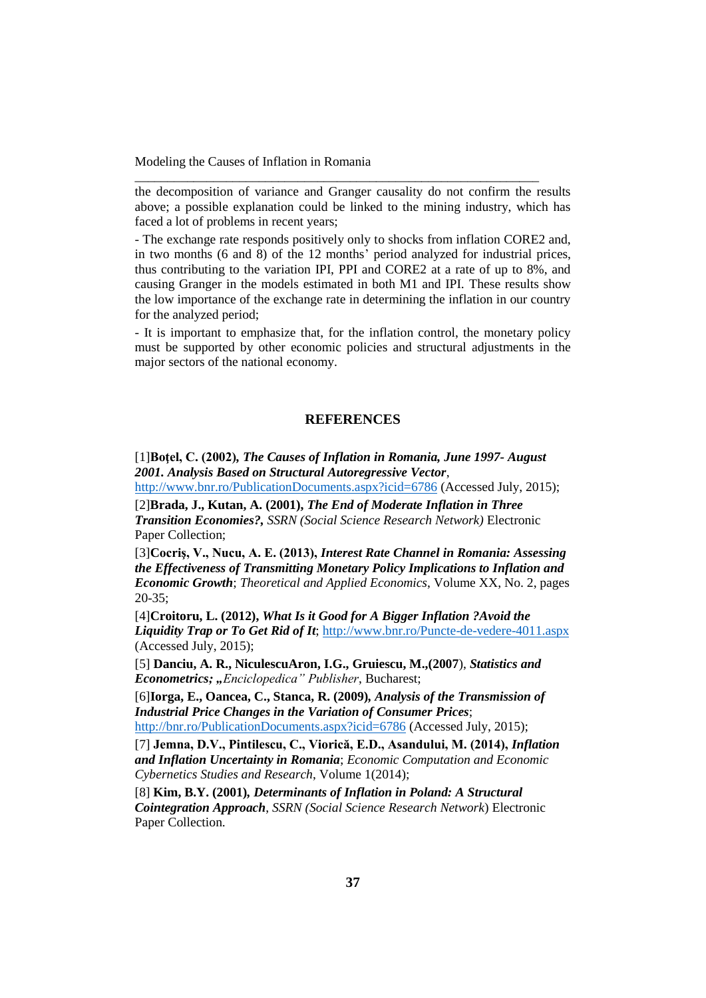the decomposition of variance and Granger causality do not confirm the results above; a possible explanation could be linked to the mining industry, which has faced a lot of problems in recent years;

\_\_\_\_\_\_\_\_\_\_\_\_\_\_\_\_\_\_\_\_\_\_\_\_\_\_\_\_\_\_\_\_\_\_\_\_\_\_\_\_\_\_\_\_\_\_\_\_\_\_\_\_\_\_\_\_\_\_\_\_\_\_

- The exchange rate responds positively only to shocks from inflation CORE2 and, in two months (6 and 8) of the 12 months' period analyzed for industrial prices, thus contributing to the variation IPI, PPI and CORE2 at a rate of up to 8%, and causing Granger in the models estimated in both M1 and IPI. These results show the low importance of the exchange rate in determining the inflation in our country for the analyzed period;

- It is important to emphasize that, for the inflation control, the monetary policy must be supported by other economic policies and structural adjustments in the major sectors of the national economy.

### **REFERENCES**

[1]**Boţel, C. (2002)***, The Causes of Inflation in Romania, June 1997- August 2001. Analysis Based on Structural Autoregressive Vector*,

<http://www.bnr.ro/PublicationDocuments.aspx?icid=6786> (Accessed July, 2015);

[2]**Brada, J., Kutan, A. (2001),** *The End of Moderate Inflation in Three Transition Economies?, SSRN (Social Science Research Network)* Electronic Paper Collection;

[3]**Cocriş, V., Nucu, A. E. (2013),** *Interest Rate Channel in Romania: Assessing the Effectiveness of Transmitting Monetary Policy Implications to Inflation and Economic Growth*; *Theoretical and Applied Economics*, Volume XX, No. 2, pages 20-35;

[4]**Croitoru, L. (2012),** *What Is it Good for A Bigger Inflation ?Avoid the Liquidity Trap or To Get Rid of It*; <http://www.bnr.ro/Puncte-de-vedere-4011.aspx> (Accessed July, 2015);

[5] **Danciu, A. R., NiculescuAron, I.G., Gruiescu, M.,(2007**), *Statistics and Econometrics; "Enciclopedica" Publisher*, Bucharest;

[6]**Iorga, E., Oancea, C., Stanca, R. (2009)***, Analysis of the Transmission of Industrial Price Changes in the Variation of Consumer Prices*; <http://bnr.ro/PublicationDocuments.aspx?icid=6786> (Accessed July, 2015);

[7] **Jemna, D.V., Pintilescu, C., Viorică, E.D., Asandului, M. (2014),** *Inflation and Inflation Uncertainty in Romania*; *Economic Computation and Economic Cybernetics Studies and Research*, Volume 1(2014);

[8] **Kim, B.Y. (2001)***, Determinants of Inflation in Poland: A Structural Cointegration Approach*, *SSRN (Social Science Research Network*) Electronic Paper Collection.